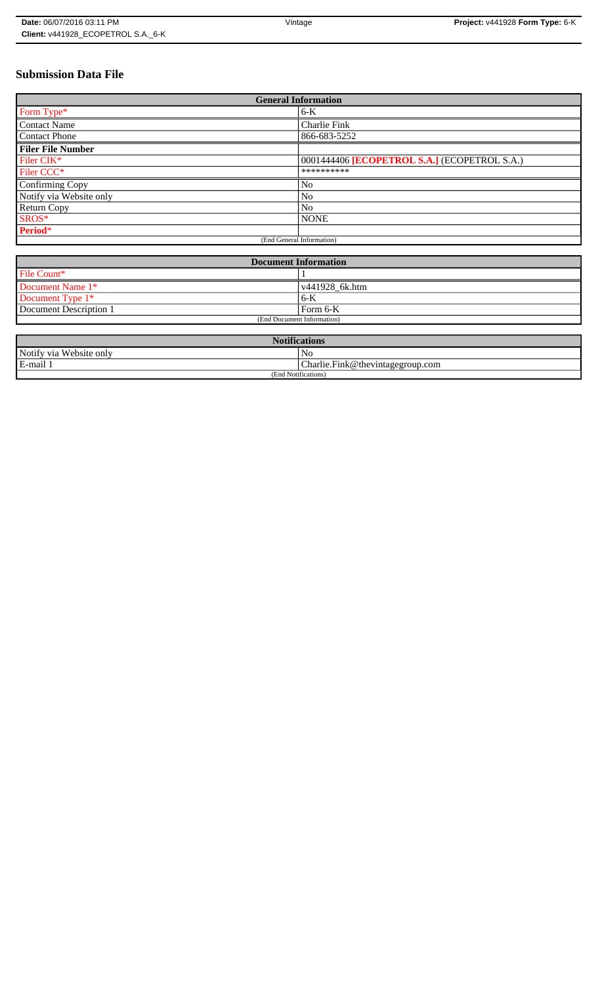## **Submission Data File**

| <b>General Information</b> |                                              |
|----------------------------|----------------------------------------------|
| Form Type*                 | $6-K$                                        |
| <b>Contact Name</b>        | Charlie Fink                                 |
| <b>Contact Phone</b>       | 866-683-5252                                 |
| <b>Filer File Number</b>   |                                              |
| Filer CIK*                 | 0001444406 [ECOPETROL S.A.] (ECOPETROL S.A.) |
| Filer CCC <sup>*</sup>     | **********                                   |
| Confirming Copy            | No                                           |
| Notify via Website only    | No                                           |
| <b>Return Copy</b>         | N <sub>o</sub>                               |
| SROS*                      | <b>NONE</b>                                  |
| Period*                    |                                              |
| (End General Information)  |                                              |

| <b>Document Information</b> |                |
|-----------------------------|----------------|
| File Count*                 |                |
| Document Name 1*            | v441928_6k.htm |
| Document Type 1*            | 6-K            |
| Document Description 1      | Form 6-K       |
| (End Document Information)  |                |

| <b>Notifications</b>    |                                  |
|-------------------------|----------------------------------|
| Notify via Website only | N <sub>0</sub>                   |
| E-mail 1                | Charlie.Fink@thevintagegroup.com |
| (End Notifications)     |                                  |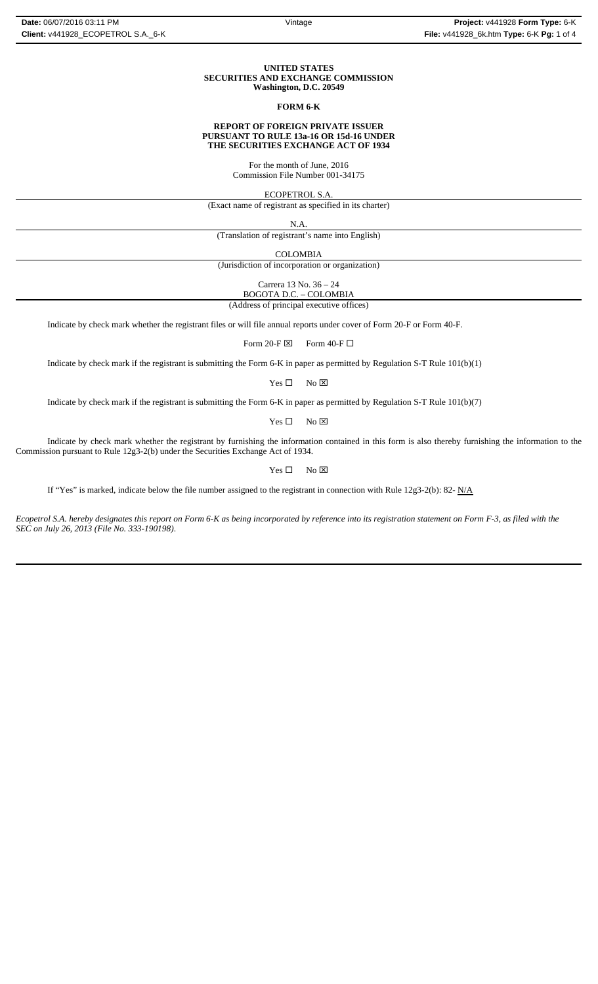#### **UNITED STATES SECURITIES AND EXCHANGE COMMISSION Washington, D.C. 20549**

## **FORM 6-K**

#### **REPORT OF FOREIGN PRIVATE ISSUER PURSUANT TO RULE 13a-16 OR 15d-16 UNDER THE SECURITIES EXCHANGE ACT OF 1934**

For the month of June, 2016 Commission File Number 001-34175

ECOPETROL S.A.

(Exact name of registrant as specified in its charter)

N.A.

(Translation of registrant's name into English)

COLOMBIA

(Jurisdiction of incorporation or organization)

Carrera 13 No. 36 – 24 BOGOTA D.C. – COLOMBIA

(Address of principal executive offices)

Indicate by check mark whether the registrant files or will file annual reports under cover of Form 20-F or Form 40-F.

Form 20-F  $\boxtimes$  Form 40-F  $\Box$ 

Indicate by check mark if the registrant is submitting the Form 6-K in paper as permitted by Regulation S-T Rule 101(b)(1)

 $Yes \Box$  No  $\boxtimes$ 

Indicate by check mark if the registrant is submitting the Form 6-K in paper as permitted by Regulation S-T Rule 101(b)(7)

 $Yes \Box$  No  $\boxtimes$ 

Indicate by check mark whether the registrant by furnishing the information contained in this form is also thereby furnishing the information to the Commission pursuant to Rule 12g3-2(b) under the Securities Exchange Act of 1934.

 $Yes \Box$  No  $\boxtimes$ 

If "Yes" is marked, indicate below the file number assigned to the registrant in connection with Rule 12g3-2(b): 82-  $N/A$ 

*Ecopetrol S.A. hereby designates this report on Form 6-K as being incorporated by reference into its registration statement on Form F-3, as filed with the SEC on July 26, 2013 (File No. 333-190198)*.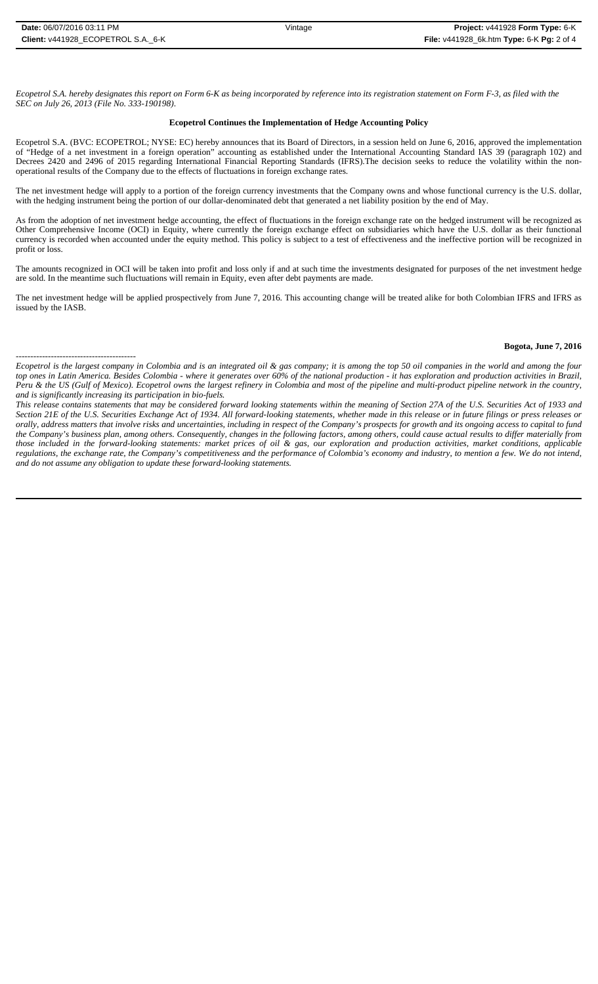-----------------------------------------

*Ecopetrol S.A. hereby designates this report on Form 6-K as being incorporated by reference into its registration statement on Form F-3, as filed with the SEC on July 26, 2013 (File No. 333-190198)*.

#### **Ecopetrol Continues the Implementation of Hedge Accounting Policy**

Ecopetrol S.A. (BVC: ECOPETROL; NYSE: EC) hereby announces that its Board of Directors, in a session held on June 6, 2016, approved the implementation of "Hedge of a net investment in a foreign operation" accounting as established under the International Accounting Standard IAS 39 (paragraph 102) and Decrees 2420 and 2496 of 2015 regarding International Financial Reporting Standards (IFRS).The decision seeks to reduce the volatility within the nonoperational results of the Company due to the effects of fluctuations in foreign exchange rates.

The net investment hedge will apply to a portion of the foreign currency investments that the Company owns and whose functional currency is the U.S. dollar, with the hedging instrument being the portion of our dollar-denominated debt that generated a net liability position by the end of May.

As from the adoption of net investment hedge accounting, the effect of fluctuations in the foreign exchange rate on the hedged instrument will be recognized as Other Comprehensive Income (OCI) in Equity, where currently the foreign exchange effect on subsidiaries which have the U.S. dollar as their functional currency is recorded when accounted under the equity method. This policy is subject to a test of effectiveness and the ineffective portion will be recognized in profit or loss.

The amounts recognized in OCI will be taken into profit and loss only if and at such time the investments designated for purposes of the net investment hedge are sold. In the meantime such fluctuations will remain in Equity, even after debt payments are made.

The net investment hedge will be applied prospectively from June 7, 2016. This accounting change will be treated alike for both Colombian IFRS and IFRS as issued by the IASB.

## **Bogota, June 7, 2016**

*Ecopetrol is the largest company in Colombia and is an integrated oil & gas company; it is among the top 50 oil companies in the world and among the four top ones in Latin America. Besides Colombia - where it generates over 60% of the national production - it has exploration and production activities in Brazil, Peru & the US (Gulf of Mexico). Ecopetrol owns the largest refinery in Colombia and most of the pipeline and multi-product pipeline network in the country, and is significantly increasing its participation in bio-fuels.*

*This release contains statements that may be considered forward looking statements within the meaning of Section 27A of the U.S. Securities Act of 1933 and Section 21E of the U.S. Securities Exchange Act of 1934. All forward-looking statements, whether made in this release or in future filings or press releases or orally, address matters that involve risks and uncertainties, including in respect of the Company's prospects for growth and its ongoing access to capital to fund the Company's business plan, among others. Consequently, changes in the following factors, among others, could cause actual results to differ materially from those included in the forward-looking statements: market prices of oil & gas, our exploration and production activities, market conditions, applicable regulations, the exchange rate, the Company's competitiveness and the performance of Colombia's economy and industry, to mention a few. We do not intend, and do not assume any obligation to update these forward-looking statements.*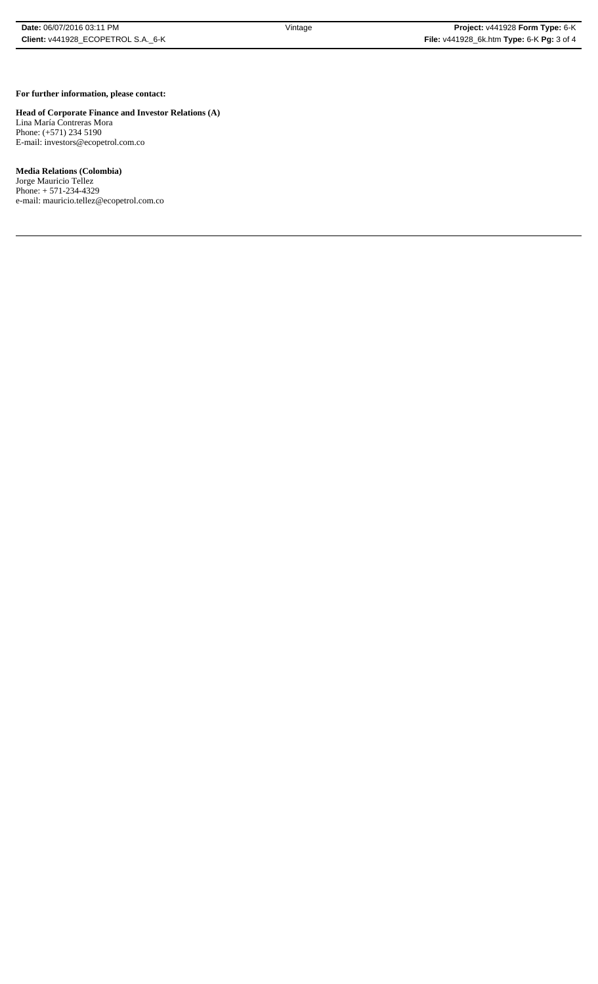## **For further information, please contact:**

# **Head of Corporate Finance and Investor Relations (A)**

Lina María Contreras Mora Phone: (+571) 234 5190 E-mail: investors@ecopetrol.com.co

## **Media Relations (Colombia)**

Jorge Mauricio Tellez Phone: + 571-234-4329 e-mail: mauricio.tellez@ecopetrol.com.co